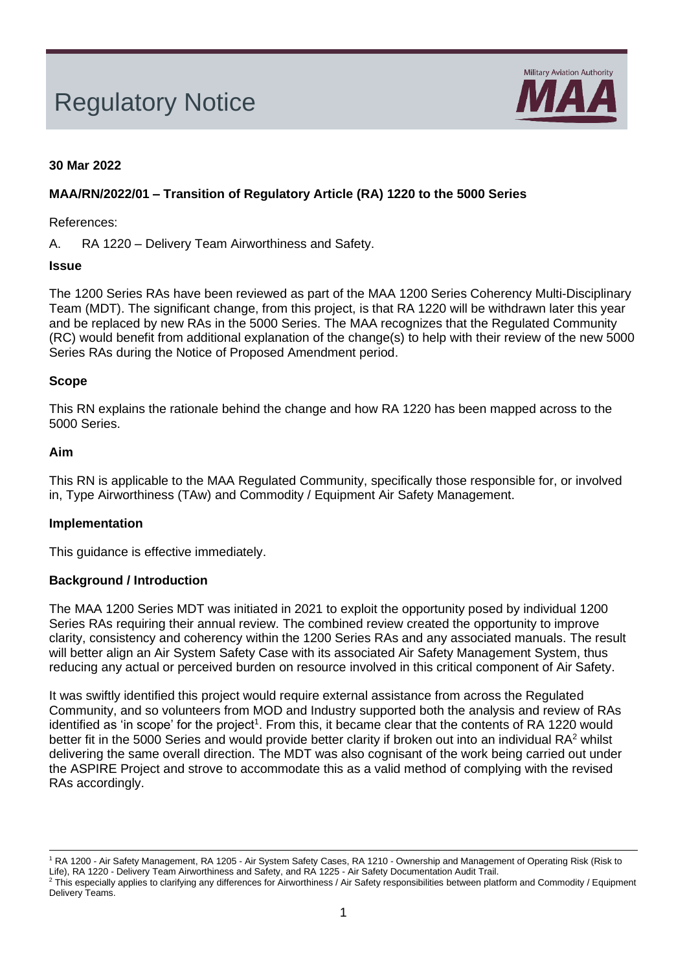# Regulatory Notice



# **30 Mar 2022**

## **MAA/RN/2022/01 – Transition of Regulatory Article (RA) 1220 to the 5000 Series**

References:

A. RA 1220 – Delivery Team Airworthiness and Safety.

## **Issue**

The 1200 Series RAs have been reviewed as part of the MAA 1200 Series Coherency Multi-Disciplinary Team (MDT). The significant change, from this project, is that RA 1220 will be withdrawn later this year and be replaced by new RAs in the 5000 Series. The MAA recognizes that the Regulated Community (RC) would benefit from additional explanation of the change(s) to help with their review of the new 5000 Series RAs during the Notice of Proposed Amendment period.

## **Scope**

This RN explains the rationale behind the change and how RA 1220 has been mapped across to the 5000 Series.

#### **Aim**

This RN is applicable to the MAA Regulated Community, specifically those responsible for, or involved in, Type Airworthiness (TAw) and Commodity / Equipment Air Safety Management.

## **Implementation**

This guidance is effective immediately.

## **Background / Introduction**

The MAA 1200 Series MDT was initiated in 2021 to exploit the opportunity posed by individual 1200 Series RAs requiring their annual review. The combined review created the opportunity to improve clarity, consistency and coherency within the 1200 Series RAs and any associated manuals. The result will better align an Air System Safety Case with its associated Air Safety Management System, thus reducing any actual or perceived burden on resource involved in this critical component of Air Safety.

It was swiftly identified this project would require external assistance from across the Regulated Community, and so volunteers from MOD and Industry supported both the analysis and review of RAs identified as 'in scope' for the project<sup>1</sup>. From this, it became clear that the contents of RA 1220 would better fit in the 5000 Series and would provide better clarity if broken out into an individual RA<sup>2</sup> whilst delivering the same overall direction. The MDT was also cognisant of the work being carried out under the ASPIRE Project and strove to accommodate this as a valid method of complying with the revised RAs accordingly.

<sup>1</sup> RA 1200 - Air Safety Management, RA 1205 - Air System Safety Cases, RA 1210 - Ownership and Management of Operating Risk (Risk to Life), RA 1220 - Delivery Team Airworthiness and Safety, and RA 1225 - Air Safety Documentation Audit Trail. <sup>2</sup> This especially applies to clarifying any differences for Airworthiness / Air Safety responsibilities between platform and Commodity / Equipment Delivery Teams.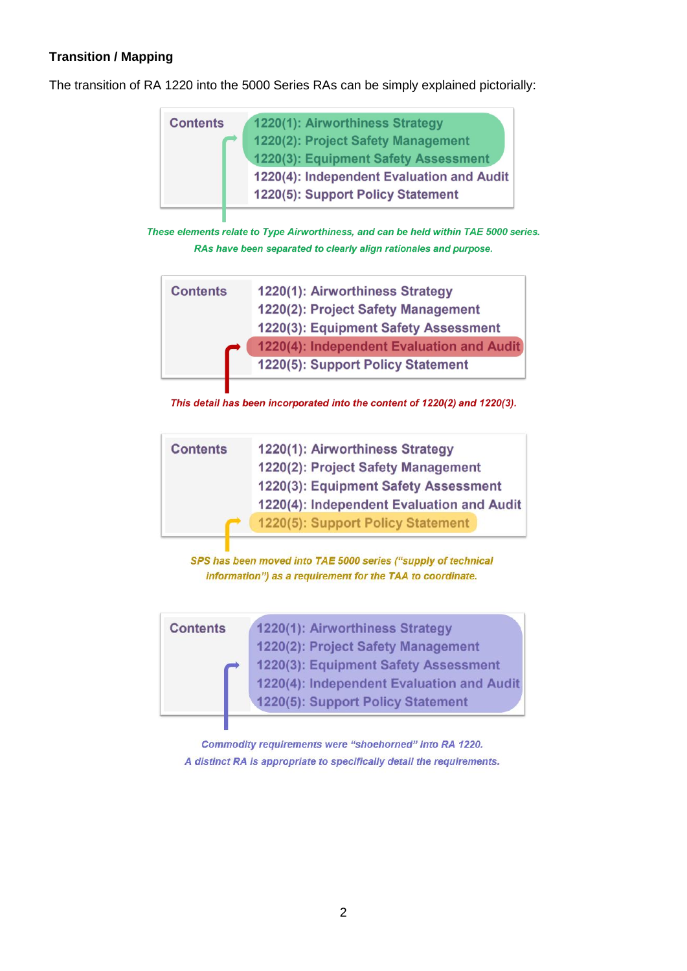# **Transition / Mapping**

The transition of RA 1220 into the 5000 Series RAs can be simply explained pictorially:

| <b>Contents</b> | 1220(1): Airworthiness Strategy                                                |
|-----------------|--------------------------------------------------------------------------------|
|                 | 1220(2): Project Safety Management<br>1220(3): Equipment Safety Assessment     |
|                 | 1220(4): Independent Evaluation and Audit<br>1220(5): Support Policy Statement |
|                 |                                                                                |

These elements relate to Type Airworthiness, and can be held within TAE 5000 series. RAs have been separated to clearly align rationales and purpose.

| <b>Contents</b> | 1220(1): Airworthiness Strategy           |
|-----------------|-------------------------------------------|
|                 | 1220(2): Project Safety Management        |
|                 | 1220(3): Equipment Safety Assessment      |
|                 | 1220(4): Independent Evaluation and Audit |
|                 | 1220(5): Support Policy Statement         |
|                 |                                           |

This detail has been incorporated into the content of 1220(2) and 1220(3).

| <b>Contents</b> | 1220(1): Airworthiness Strategy           |
|-----------------|-------------------------------------------|
|                 | 1220(2): Project Safety Management        |
|                 | 1220(3): Equipment Safety Assessment      |
|                 | 1220(4): Independent Evaluation and Audit |
|                 | 1220(5): Support Policy Statement         |

SPS has been moved into TAE 5000 series ("supply of technical information") as a requirement for the TAA to coordinate.

| <b>Contents</b> | 1220(1): Airworthiness Strategy           |
|-----------------|-------------------------------------------|
|                 | 1220(2): Project Safety Management        |
| $\rightarrow$   | 1220(3): Equipment Safety Assessment      |
|                 | 1220(4): Independent Evaluation and Audit |
|                 | 1220(5): Support Policy Statement         |

Commodity requirements were "shoehorned" into RA 1220. A distinct RA is appropriate to specifically detail the requirements.

Ш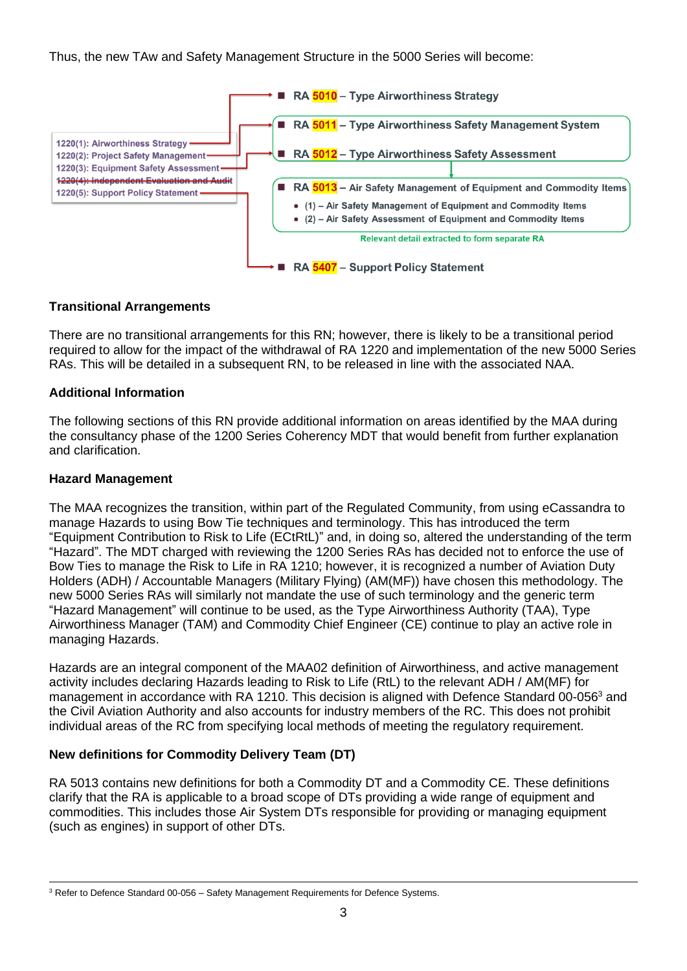Thus, the new TAw and Safety Management Structure in the 5000 Series will become:



## **Transitional Arrangements**

There are no transitional arrangements for this RN; however, there is likely to be a transitional period required to allow for the impact of the withdrawal of RA 1220 and implementation of the new 5000 Series RAs. This will be detailed in a subsequent RN, to be released in line with the associated NAA.

## **Additional Information**

The following sections of this RN provide additional information on areas identified by the MAA during the consultancy phase of the 1200 Series Coherency MDT that would benefit from further explanation and clarification.

## **Hazard Management**

The MAA recognizes the transition, within part of the Regulated Community, from using eCassandra to manage Hazards to using Bow Tie techniques and terminology. This has introduced the term "Equipment Contribution to Risk to Life (ECtRtL)" and, in doing so, altered the understanding of the term "Hazard". The MDT charged with reviewing the 1200 Series RAs has decided not to enforce the use of Bow Ties to manage the Risk to Life in RA 1210; however, it is recognized a number of Aviation Duty Holders (ADH) / Accountable Managers (Military Flying) (AM(MF)) have chosen this methodology. The new 5000 Series RAs will similarly not mandate the use of such terminology and the generic term "Hazard Management" will continue to be used, as the Type Airworthiness Authority (TAA), Type Airworthiness Manager (TAM) and Commodity Chief Engineer (CE) continue to play an active role in managing Hazards.

Hazards are an integral component of the MAA02 definition of Airworthiness, and active management activity includes declaring Hazards leading to Risk to Life (RtL) to the relevant ADH / AM(MF) for management in accordance with RA 1210. This decision is aligned with Defence Standard 00-056<sup>3</sup> and the Civil Aviation Authority and also accounts for industry members of the RC. This does not prohibit individual areas of the RC from specifying local methods of meeting the regulatory requirement.

# **New definitions for Commodity Delivery Team (DT)**

RA 5013 contains new definitions for both a Commodity DT and a Commodity CE. These definitions clarify that the RA is applicable to a broad scope of DTs providing a wide range of equipment and commodities. This includes those Air System DTs responsible for providing or managing equipment (such as engines) in support of other DTs.

<sup>&</sup>lt;sup>3</sup> Refer to Defence Standard 00-056 – Safety Management Requirements for Defence Systems.